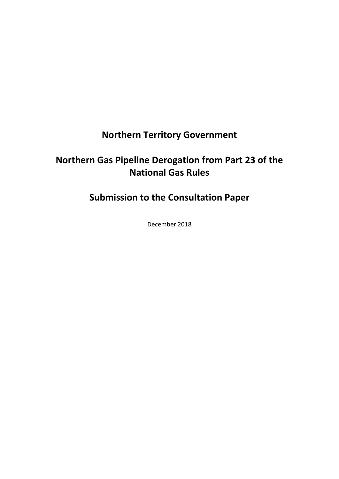# **Northern Territory Government**

# **Northern Gas Pipeline Derogation from Part 23 of the National Gas Rules**

**Submission to the Consultation Paper**

December 2018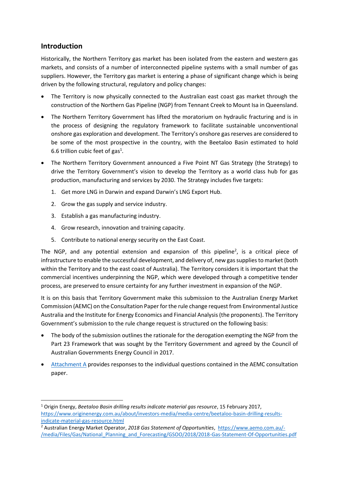## **Introduction**

Historically, the Northern Territory gas market has been isolated from the eastern and western gas markets, and consists of a number of interconnected pipeline systems with a small number of gas suppliers. However, the Territory gas market is entering a phase of significant change which is being driven by the following structural, regulatory and policy changes:

- The Territory is now physically connected to the Australian east coast gas market through the construction of the Northern Gas Pipeline (NGP) from Tennant Creek to Mount Isa in Queensland.
- The Northern Territory Government has lifted the moratorium on hydraulic fracturing and is in the process of designing the regulatory framework to facilitate sustainable unconventional onshore gas exploration and development. The Territory's onshore gas reserves are considered to be some of the most prospective in the country, with the Beetaloo Basin estimated to hold 6.6 trillion cubic feet of gas<sup>1</sup>.
- The Northern Territory Government announced a Five Point NT Gas Strategy (the Strategy) to drive the Territory Government's vision to develop the Territory as a world class hub for gas production, manufacturing and services by 2030. The Strategy includes five targets:
	- 1. Get more LNG in Darwin and expand Darwin's LNG Export Hub.
	- 2. Grow the gas supply and service industry.
	- 3. Establish a gas manufacturing industry.
	- 4. Grow research, innovation and training capacity.
	- 5. Contribute to national energy security on the East Coast.

The NGP, and any potential extension and expansion of this pipeline<sup>2</sup>, is a critical piece of infrastructure to enable the successful development, and delivery of, new gas supplies to market (both within the Territory and to the east coast of Australia). The Territory considers it is important that the commercial incentives underpinning the NGP, which were developed through a competitive tender process, are preserved to ensure certainty for any further investment in expansion of the NGP.

It is on this basis that Territory Government make this submission to the Australian Energy Market Commission (AEMC) on the Consultation Paper for the rule change request from Environmental Justice Australia and the Institute for Energy Economics and Financial Analysis(the proponents). The Territory Government's submission to the rule change request is structured on the following basis:

- The body of the submission outlines the rationale for the derogation exempting the NGP from the Part 23 Framework that was sought by the Territory Government and agreed by the Council of Australian Governments Energy Council in 2017.
- [Attachment A](#page-6-0) provides responses to the individual questions contained in the AEMC consultation paper.

<sup>-</sup><sup>1</sup> Origin Energy, *Beetaloo Basin drilling results indicate material gas resource*, 15 February 2017, [https://www.originenergy.com.au/about/investors-media/media-centre/beetaloo-basin-drilling-results](https://www.originenergy.com.au/about/investors-media/media-centre/beetaloo-basin-drilling-results-indicate-material-gas-resource.html)[indicate-material-gas-resource.html](https://www.originenergy.com.au/about/investors-media/media-centre/beetaloo-basin-drilling-results-indicate-material-gas-resource.html)

<sup>2</sup> Australian Energy Market Operator, *2018 Gas Statement of Opportunities*, [https://www.aemo.com.au/-](https://www.aemo.com.au/-/media/Files/Gas/National_Planning_and_Forecasting/GSOO/2018/2018-Gas-Statement-Of-Opportunities.pdf) [/media/Files/Gas/National\\_Planning\\_and\\_Forecasting/GSOO/2018/2018-Gas-Statement-Of-Opportunities.pdf](https://www.aemo.com.au/-/media/Files/Gas/National_Planning_and_Forecasting/GSOO/2018/2018-Gas-Statement-Of-Opportunities.pdf)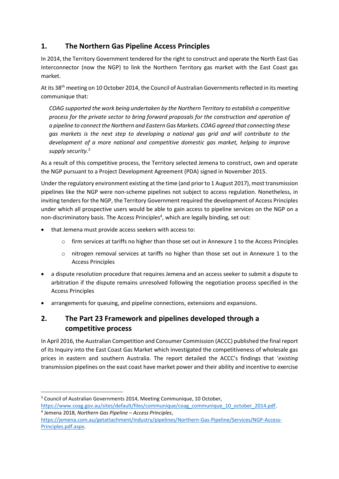# **1. The Northern Gas Pipeline Access Principles**

In 2014, the Territory Government tendered for the right to construct and operate the North East Gas Interconnector (now the NGP) to link the Northern Territory gas market with the East Coast gas market.

At its 38<sup>th</sup> meeting on 10 October 2014, the Council of Australian Governments reflected in its meeting communique that:

*COAG supported the work being undertaken by the Northern Territory to establish a competitive process for the private sector to bring forward proposals for the construction and operation of a pipeline to connect the Northern and Eastern Gas Markets. COAG agreed that connecting these gas markets is the next step to developing a national gas grid and will contribute to the development of a more national and competitive domestic gas market, helping to improve supply security.<sup>3</sup>*

As a result of this competitive process, the Territory selected Jemena to construct, own and operate the NGP pursuant to a Project Development Agreement (PDA) signed in November 2015.

Under the regulatory environment existing at the time (and prior to 1 August 2017), most transmission pipelines like the NGP were non-scheme pipelines not subject to access regulation. Nonetheless, in inviting tenders for the NGP, the Territory Government required the development of Access Principles under which all prospective users would be able to gain access to pipeline services on the NGP on a non-discriminatory basis. The Access Principles<sup>4</sup>, which are legally binding, set out:

that Jemena must provide access seekers with access to:

-

- $\circ$  firm services at tariffs no higher than those set out in Annexure 1 to the Access Principles
- $\circ$  nitrogen removal services at tariffs no higher than those set out in Annexure 1 to the Access Principles
- a dispute resolution procedure that requires Jemena and an access seeker to submit a dispute to arbitration if the dispute remains unresolved following the negotiation process specified in the Access Principles
- arrangements for queuing, and pipeline connections, extensions and expansions.

# **2. The Part 23 Framework and pipelines developed through a competitive process**

In April 2016, the Australian Competition and Consumer Commission (ACCC) published the final report of its Inquiry into the East Coast Gas Market which investigated the competitiveness of wholesale gas prices in eastern and southern Australia. The report detailed the ACCC's findings that '*existing* transmission pipelines on the east coast have market power and their ability and incentive to exercise

<sup>&</sup>lt;sup>3</sup> Council of Australian Governments 2014, Meeting Communique, 10 October, [https://www.coag.gov.au/sites/default/files/communique/coag\\_communique\\_10\\_october\\_2014.pdf.](https://www.coag.gov.au/sites/default/files/communique/coag_communique_10_october_2014.pdf) 4 Jemena 2018, *Northern Gas Pipeline – Access Principles*,

[https://jemena.com.au/getattachment/industry/pipelines/Northern-Gas-Pipeline/Services/NGP-Access-](https://jemena.com.au/getattachment/industry/pipelines/Northern-Gas-Pipeline/Services/NGP-Access-Principles.pdf.aspx)[Principles.pdf.aspx.](https://jemena.com.au/getattachment/industry/pipelines/Northern-Gas-Pipeline/Services/NGP-Access-Principles.pdf.aspx)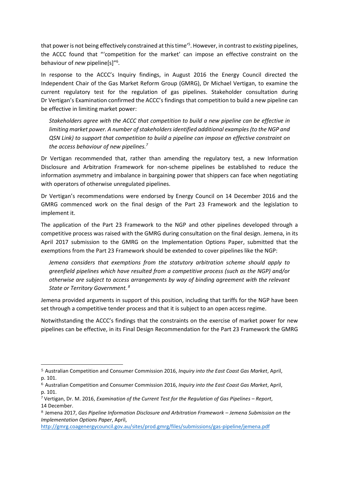that power is not being effectively constrained at this time' 5 . However, in contrastto *existing* pipelines, the ACCC found that "'competition for the market' can impose an effective constraint on the behaviour of *new* pipeline[s]"<sup>6</sup>.

In response to the ACCC's Inquiry findings, in August 2016 the Energy Council directed the Independent Chair of the Gas Market Reform Group (GMRG), Dr Michael Vertigan, to examine the current regulatory test for the regulation of gas pipelines. Stakeholder consultation during Dr Vertigan's Examination confirmed the ACCC's findings that competition to build a new pipeline can be effective in limiting market power:

*Stakeholders agree with the ACCC that competition to build a new pipeline can be effective in limiting market power. A number of stakeholders identified additional examples (to the NGP and QSN Link) to support that competition to build a pipeline can impose an effective constraint on the access behaviour of new pipelines.<sup>7</sup>*

Dr Vertigan recommended that, rather than amending the regulatory test, a new Information Disclosure and Arbitration Framework for non-scheme pipelines be established to reduce the information asymmetry and imbalance in bargaining power that shippers can face when negotiating with operators of otherwise unregulated pipelines.

Dr Vertigan's recommendations were endorsed by Energy Council on 14 December 2016 and the GMRG commenced work on the final design of the Part 23 Framework and the legislation to implement it.

The application of the Part 23 Framework to the NGP and other pipelines developed through a competitive process was raised with the GMRG during consultation on the final design. Jemena, in its April 2017 submission to the GMRG on the Implementation Options Paper, submitted that the exemptions from the Part 23 Framework should be extended to cover pipelines like the NGP:

*Jemena considers that exemptions from the statutory arbitration scheme should apply to greenfield pipelines which have resulted from a competitive process (such as the NGP) and/or otherwise are subject to access arrangements by way of binding agreement with the relevant State or Territory Government. <sup>8</sup>*

Jemena provided arguments in support of this position, including that tariffs for the NGP have been set through a competitive tender process and that it is subject to an open access regime.

Notwithstanding the ACCC's findings that the constraints on the exercise of market power for new pipelines can be effective, in its Final Design Recommendation for the Part 23 Framework the GMRG

-

<sup>5</sup> Australian Competition and Consumer Commission 2016, *Inquiry into the East Coast Gas Market*, April, p. 101.

<sup>6</sup> Australian Competition and Consumer Commission 2016, *Inquiry into the East Coast Gas Market*, April, p. 101.

<sup>7</sup> Vertigan, Dr. M. 2016, *Examination of the Current Test for the Regulation of Gas Pipelines - Report*, 14 December.

<sup>8</sup> Jemena 2017, *Gas Pipeline Information Disclosure and Arbitration Framework – Jemena Submission on the Implementation Options Paper*, April,

<http://gmrg.coagenergycouncil.gov.au/sites/prod.gmrg/files/submissions/gas-pipeline/jemena.pdf>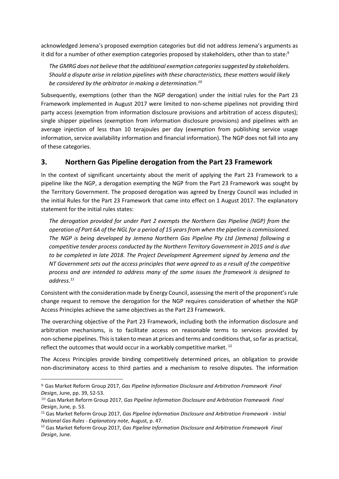acknowledged Jemena's proposed exemption categories but did not address Jemena's arguments as it did for a number of other exemption categories proposed by stakeholders, other than to state:<sup>9</sup>

*The GMRG does not believe that the additional exemption categories suggested by stakeholders. Should a dispute arise in relation pipelines with these characteristics, these matters would likely be considered by the arbitrator in making a determination.<sup>10</sup>*

Subsequently, exemptions (other than the NGP derogation) under the initial rules for the Part 23 Framework implemented in August 2017 were limited to non-scheme pipelines not providing third party access (exemption from information disclosure provisions and arbitration of access disputes); single shipper pipelines (exemption from information disclosure provisions) and pipelines with an average injection of less than 10 terajoules per day (exemption from publishing service usage information, service availability information and financial information). The NGP does not fall into any of these categories.

## **3. Northern Gas Pipeline derogation from the Part 23 Framework**

In the context of significant uncertainty about the merit of applying the Part 23 Framework to a pipeline like the NGP, a derogation exempting the NGP from the Part 23 Framework was sought by the Territory Government. The proposed derogation was agreed by Energy Council was included in the initial Rules for the Part 23 Framework that came into effect on 1 August 2017. The explanatory statement for the initial rules states:

*The derogation provided for under Part 2 exempts the Northern Gas Pipeline (NGP) from the operation of Part 6A of the NGL for a period of 15 years from when the pipeline is commissioned. The NGP is being developed by Jemena Northern Gas Pipeline Pty Ltd (Jemena) following a competitive tender process conducted by the Northern Territory Government in 2015 and is due to be completed in late 2018. The Project Development Agreement signed by Jemena and the NT Government sets out the access principles that were agreed to as a result of the competitive process and are intended to address many of the same issues the framework is designed to address.<sup>11</sup>*

Consistent with the consideration made by Energy Council, assessing the merit of the proponent's rule change request to remove the derogation for the NGP requires consideration of whether the NGP Access Principles achieve the same objectives as the Part 23 Framework.

The overarching objective of the Part 23 Framework, including both the information disclosure and arbitration mechanisms, is to facilitate access on reasonable terms to services provided by non-scheme pipelines. Thisis taken to mean at prices and terms and conditions that, so far as practical, reflect the outcomes that would occur in a workably competitive market.<sup>12</sup>

The Access Principles provide binding competitively determined prices, an obligation to provide non-discriminatory access to third parties and a mechanism to resolve disputes. The information

-

<sup>9</sup> Gas Market Reform Group 2017, *Gas Pipeline Information Disclosure and Arbitration Framework Final Design*, June, pp. 39, 52-53.

<sup>10</sup> Gas Market Reform Group 2017, *Gas Pipeline Information Disclosure and Arbitration Framework Final Design*, June, p. 53.

<sup>11</sup> Gas Market Reform Group 2017, *Gas Pipeline Information Disclosure and Arbitration Framework - Initial National Gas Rules - Explanatory note*, August, p. 47.

<sup>12</sup> Gas Market Reform Group 2017, *Gas Pipeline Information Disclosure and Arbitration Framework Final Design*, June.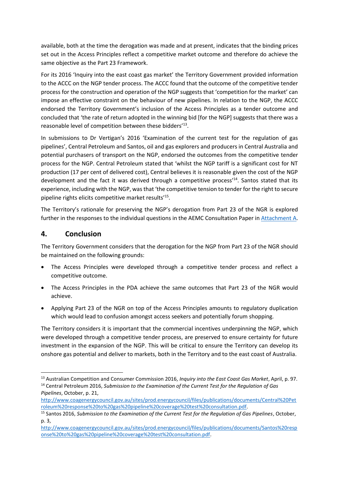available, both at the time the derogation was made and at present, indicates that the binding prices set out in the Access Principles reflect a competitive market outcome and therefore do achieve the same objective as the Part 23 Framework.

For its 2016 'Inquiry into the east coast gas market' the Territory Government provided information to the ACCC on the NGP tender process. The ACCC found that the outcome of the competitive tender process for the construction and operation of the NGP suggests that 'competition for the market' can impose an effective constraint on the behaviour of new pipelines. In relation to the NGP, the ACCC endorsed the Territory Government's inclusion of the Access Principles as a tender outcome and concluded that 'the rate of return adopted in the winning bid [for the NGP] suggests that there was a reasonable level of competition between these bidders'<sup>13</sup>.

In submissions to Dr Vertigan's 2016 'Examination of the current test for the regulation of gas pipelines', Central Petroleum and Santos, oil and gas explorers and producers in Central Australia and potential purchasers of transport on the NGP, endorsed the outcomes from the competitive tender process for the NGP. Central Petroleum stated that 'whilst the NGP tariff is a significant cost for NT production (17 per cent of delivered cost), Central believes it is reasonable given the cost of the NGP development and the fact it was derived through a competitive process'<sup>14</sup>. Santos stated that its experience, including with the NGP, was that 'the competitive tension to tender for the right to secure pipeline rights elicits competitive market results'<sup>15</sup>.

The Territory's rationale for preserving the NGP's derogation from Part 23 of the NGR is explored further in the responses to the individual questions in the AEMC Consultation Paper i[n Attachment A.](#page-6-0)

## **4. Conclusion**

-

The Territory Government considers that the derogation for the NGP from Part 23 of the NGR should be maintained on the following grounds:

- The Access Principles were developed through a competitive tender process and reflect a competitive outcome.
- The Access Principles in the PDA achieve the same outcomes that Part 23 of the NGR would achieve.
- Applying Part 23 of the NGR on top of the Access Principles amounts to regulatory duplication which would lead to confusion amongst access seekers and potentially forum shopping.

The Territory considers it is important that the commercial incentives underpinning the NGP, which were developed through a competitive tender process, are preserved to ensure certainty for future investment in the expansion of the NGP. This will be critical to ensure the Territory can develop its onshore gas potential and deliver to markets, both in the Territory and to the east coast of Australia.

<sup>13</sup> Australian Competition and Consumer Commission 2016, *Inquiry into the East Coast Gas Market*, April, p. 97. <sup>14</sup> Central Petroleum 2016, *Submission to the Examination of the Current Test for the Regulation of Gas* 

*Pipelines*, October, p. 21, [http://www.coagenergycouncil.gov.au/sites/prod.energycouncil/files/publications/documents/Central%20Pet](http://www.coagenergycouncil.gov.au/sites/prod.energycouncil/files/publications/documents/Central%20Petroleum%20response%20to%20gas%20pipeline%20coverage%20test%20consultation.pdf) [roleum%20response%20to%20gas%20pipeline%20coverage%20test%20consultation.pdf.](http://www.coagenergycouncil.gov.au/sites/prod.energycouncil/files/publications/documents/Central%20Petroleum%20response%20to%20gas%20pipeline%20coverage%20test%20consultation.pdf)

<sup>15</sup> Santos 2016, *Submission to the Examination of the Current Test for the Regulation of Gas Pipelines*, October, p. 3,

[http://www.coagenergycouncil.gov.au/sites/prod.energycouncil/files/publications/documents/Santos%20resp](http://www.coagenergycouncil.gov.au/sites/prod.energycouncil/files/publications/documents/Santos%20response%20to%20gas%20pipeline%20coverage%20test%20consultation.pdf) [onse%20to%20gas%20pipeline%20coverage%20test%20consultation.pdf.](http://www.coagenergycouncil.gov.au/sites/prod.energycouncil/files/publications/documents/Santos%20response%20to%20gas%20pipeline%20coverage%20test%20consultation.pdf)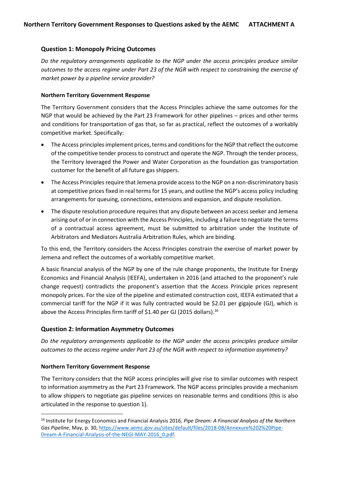#### <span id="page-6-0"></span>**Question 1: Monopoly Pricing Outcomes**

*Do the regulatory arrangements applicable to the NGP under the access principles produce similar outcomes to the access regime under Part 23 of the NGR with respect to constraining the exercise of market power by a pipeline service provider?*

#### **Northern Territory Government Response**

The Territory Government considers that the Access Principles achieve the same outcomes for the NGP that would be achieved by the Part 23 Framework for other pipelines – prices and other terms and conditions for transportation of gas that, so far as practical, reflect the outcomes of a workably competitive market. Specifically:

- The Access principles implement prices, terms and conditions for the NGP that reflect the outcome of the competitive tender process to construct and operate the NGP. Through the tender process, the Territory leveraged the Power and Water Corporation as the foundation gas transportation customer for the benefit of all future gas shippers.
- The Access Principles require that Jemena provide access to the NGP on a non-discriminatory basis at competitive prices fixed in real terms for 15 years, and outline the NGP's access policy including arrangements for queuing, connections, extensions and expansion, and dispute resolution.
- The dispute resolution procedure requires that any dispute between an access seeker and Jemena arising out of or in connection with the Access Principles, including a failure to negotiate the terms of a contractual access agreement, must be submitted to arbitration under the Institute of Arbitrators and Mediators Australia Arbitration Rules, which are binding.

To this end, the Territory considers the Access Principles constrain the exercise of market power by Jemena and reflect the outcomes of a workably competitive market.

A basic financial analysis of the NGP by one of the rule change proponents, the Institute for Energy Economics and Financial Analysis (IEEFA), undertaken in 2016 (and attached to the proponent's rule change request) contradicts the proponent's assertion that the Access Principle prices represent monopoly prices. For the size of the pipeline and estimated construction cost, IEEFA estimated that a commercial tariff for the NGP if it was fully contracted would be \$2.01 per gigajoule (GJ), which is above the Access Principles firm tariff of \$1.40 per GJ (2015 dollars).<sup>16</sup>

#### **Question 2: Information Asymmetry Outcomes**

*Do the regulatory arrangements applicable to the NGP under the access principles produce similar outcomes to the access regime under Part 23 of the NGR with respect to information asymmetry?*

#### **Northern Territory Government Response**

-

The Territory considers that the NGP access principles will give rise to similar outcomes with respect to information asymmetry as the Part 23 Framework. The NGP access principles provide a mechanism to allow shippers to negotiate gas pipeline services on reasonable terms and conditions (this is also articulated in the response to question 1).

<sup>16</sup> Institute for Energy Economics and Financial Analysis 2016, *Pipe Dream: A Financial Analysis of the Northern Gas Pipeline*, May, p. 30, [https://www.aemc.gov.au/sites/default/files/2018-08/Annexure%202%20Pipe-](https://www.aemc.gov.au/sites/default/files/2018-08/Annexure%202%20Pipe-Dream-A-Financial-Analysis-of-the-NEGI-MAY-2016_0.pdf)[Dream-A-Financial-Analysis-of-the-NEGI-MAY-2016\\_0.pdf.](https://www.aemc.gov.au/sites/default/files/2018-08/Annexure%202%20Pipe-Dream-A-Financial-Analysis-of-the-NEGI-MAY-2016_0.pdf)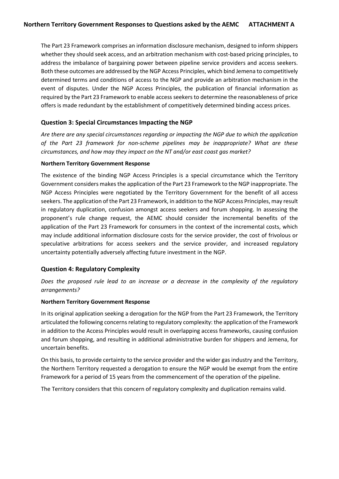The Part 23 Framework comprises an information disclosure mechanism, designed to inform shippers whether they should seek access, and an arbitration mechanism with cost-based pricing principles, to address the imbalance of bargaining power between pipeline service providers and access seekers. Both these outcomes are addressed by the NGP Access Principles, which bind Jemena to competitively determined terms and conditions of access to the NGP and provide an arbitration mechanism in the event of disputes. Under the NGP Access Principles, the publication of financial information as required by the Part 23 Framework to enable access seekers to determine the reasonableness of price offers is made redundant by the establishment of competitively determined binding access prices.

#### **Question 3: Special Circumstances Impacting the NGP**

*Are there are any special circumstances regarding or impacting the NGP due to which the application of the Part 23 framework for non-scheme pipelines may be inappropriate? What are these circumstances, and how may they impact on the NT and/or east coast gas market?*

#### **Northern Territory Government Response**

The existence of the binding NGP Access Principles is a special circumstance which the Territory Government considers makes the application of the Part 23 Framework to the NGP inappropriate. The NGP Access Principles were negotiated by the Territory Government for the benefit of all access seekers. The application of the Part 23 Framework, in addition to the NGP Access Principles, may result in regulatory duplication, confusion amongst access seekers and forum shopping. In assessing the proponent's rule change request, the AEMC should consider the incremental benefits of the application of the Part 23 Framework for consumers in the context of the incremental costs, which may include additional information disclosure costs for the service provider, the cost of frivolous or speculative arbitrations for access seekers and the service provider, and increased regulatory uncertainty potentially adversely affecting future investment in the NGP.

#### **Question 4: Regulatory Complexity**

*Does the proposed rule lead to an increase or a decrease in the complexity of the regulatory arrangements?*

#### **Northern Territory Government Response**

In its original application seeking a derogation for the NGP from the Part 23 Framework, the Territory articulated the following concerns relating to regulatory complexity: the application of the Framework in addition to the Access Principles would result in overlapping access frameworks, causing confusion and forum shopping, and resulting in additional administrative burden for shippers and Jemena, for uncertain benefits.

On this basis, to provide certainty to the service provider and the wider gas industry and the Territory, the Northern Territory requested a derogation to ensure the NGP would be exempt from the entire Framework for a period of 15 years from the commencement of the operation of the pipeline.

The Territory considers that this concern of regulatory complexity and duplication remains valid.